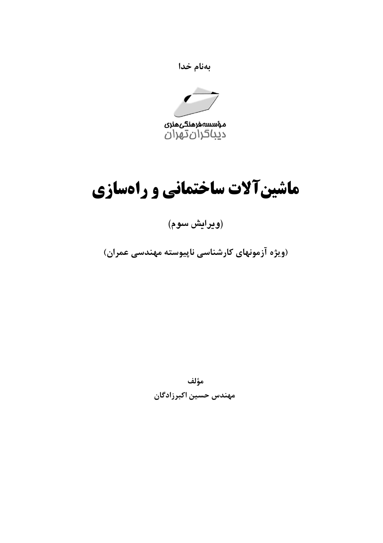



## ماشینآلات ساختمانی و راهسازی

(ويرايش سوم)

(ویژه آزمونهای کارشناسی ناپیوسته مهندسی عمران)

مؤلف مهندس حسين اكبرزادگان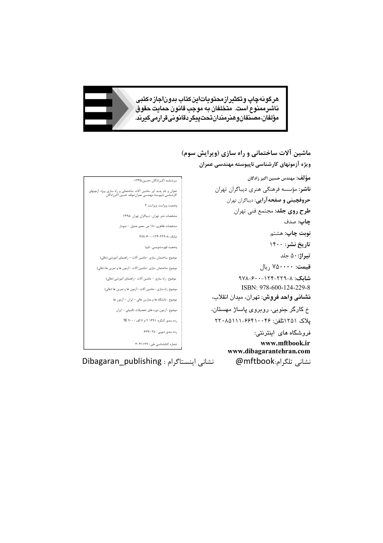هرگونهچاپ وتکثیرازمحتویاتاینکتاب بدوناجازهکتبی ناشرممنوع است. متخلفان به موجب قانون حمايت حقوق مؤلفان،مصىنغانوھىرمىدانتحتپيگردقانونىقرارمىگيرىد. *`* 

```
ماشين آلات ساختماني و راه سازي (ويرايش سوم)
                                                          ويژه آزمونهاي كارشناسي ناپيوسته مهندسي عمران
                                                                                   مؤلف: مهندس حسين اكبر زادگان 
                                                                  ناشر: مؤسسه فرهنگي هنري ديباگران تهران
                                                                        حروفچيني و صفحهآرايي: ديباگران تهران 
                                                                             طرح روي جلد: مجتمع فني تهران 
                                                                                                       چاپ: صدف
                                                                                               نوبت چاپ: هشتم
                                                                                               تاريخ نشر: ١٤٠٠
                                                                                                     تيراژ٥٠: جلد 
                                                                                          قيمت: ۷۵۰۰۰۰ ريال 
                                                                               شابك: ٩٧٨-٦٠٠-١٢٤-٢٢٩-٨
                                                                                ISBN: 978-600-124-229-8
                                                                 نشاني واحد فروش: تهران، ميدان انقلاب،
                                                                خ كارگر جنوبي، روبروي پاساژ مهستان، 
                                                                  پلاك ۱۲۵۱تلفن: ٢٢٠٨٥١١١-٦٦٤١٠٠٤٦ 
                                                                                       فروشگاه های اينترنتي:
                                                                                           www.mftbook.ir
                                                                         www.dibagarantehran.com
                       سرشناسه :اکبرزادگان ،حسین-1345،
عنوان و نام پدید آور :ماشین آلات ساختمانی و راه سازي ویژه آزمونهاي 
کارشناسی ناپیوسته مهندسی عمران/مولف حسین اکبرزادگان 
                             وضعیت ویراست :ویراست 3
                 مشخصات نشر: تهران- دیباگران تهران 1395-
               مشخصات ظاهري180: ص. مصور.جدول – نمودار 
                          شابک 978-600-124-229-8:
                             وضعیت فهرستنویسی : فیپا
     موضوع: ساختمان سازي –ماشین آلات – راهنماي آموزشی (عالی)
   موضوع :ساختمان سازي –ماشین آلات –آزمون ها و تمرین ها (عالی) 
        موضوع : راه سازي – ماشین آلات –راهنماي آموزشی (عالی)
       موضوع: راه سازي –ماشین آلات –آزمون ها و تمرین ها (عالی) 
            موضوع : دانشگاه ها و مدارس عالی – ایران – آزمون ها 
             موضوع : آزمون دوره هاي تحصیلات تکمیلی – ایران 
                 رده بندي کنگره: 1391 2 م 7 الف / 900 TE
                            رده بندي دیویی : 624/028
                        شماره کتابشناسی ملی : 3041199
```
نشانی تلگرام:mftbook @نشانی اینستاگرام : publishing\_Dibagaran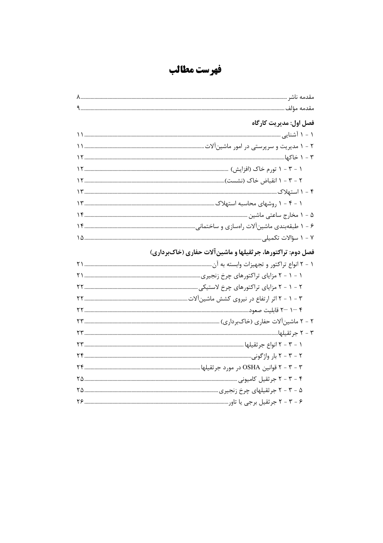فهرست مطالب

| فصل اول: مديريت كارگاه                                      |
|-------------------------------------------------------------|
|                                                             |
|                                                             |
|                                                             |
|                                                             |
|                                                             |
|                                                             |
|                                                             |
|                                                             |
|                                                             |
|                                                             |
|                                                             |
| فصل دوم: تراکتورها، جرثقیلها و ماشین آلات حفاری (خاکبرداری) |
|                                                             |
|                                                             |
|                                                             |
|                                                             |
|                                                             |
|                                                             |
|                                                             |
|                                                             |
|                                                             |
|                                                             |
|                                                             |
|                                                             |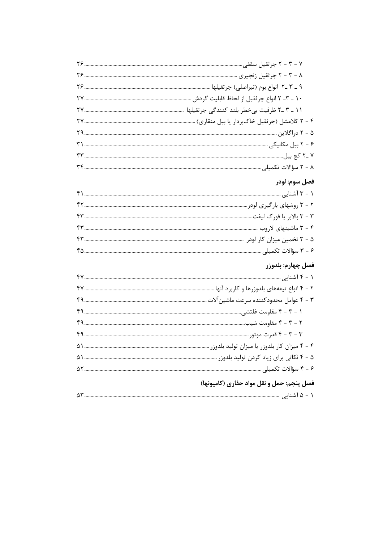| فصل سوم: لودر     |
|-------------------|
|                   |
|                   |
|                   |
|                   |
|                   |
|                   |
| فصل چهارم: بلدوزر |
|                   |
|                   |
|                   |
|                   |
|                   |
|                   |
|                   |
|                   |
|                   |
|                   |

## فصل پنجم: حمل و نقل مواد حفاري (كاميونها)

|--|--|--|--|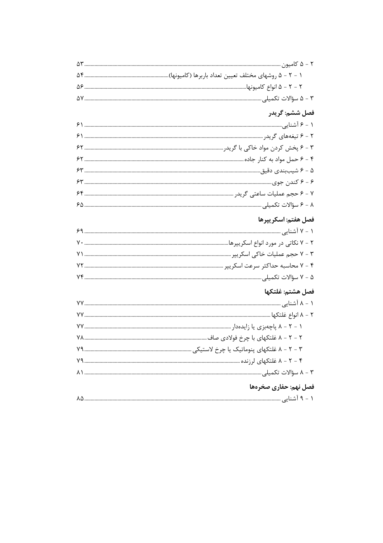| فصل ششم: گريدر        |
|-----------------------|
|                       |
|                       |
|                       |
|                       |
|                       |
|                       |
|                       |
|                       |
| فصل هفتم: اسكريپرها   |
|                       |
|                       |
|                       |
|                       |
|                       |
| فصل هشتم: غلتكها      |
|                       |
|                       |
|                       |
|                       |
|                       |
|                       |
|                       |
| فصل نهم: حفاري صخرهها |
|                       |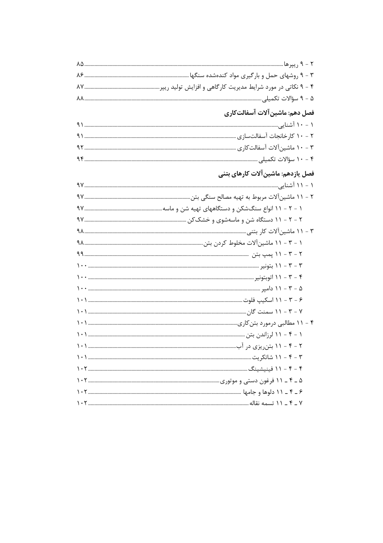| ۴ - ۹ نکاتی در مورد شرایط مدیریت کارگاهی و افزایش تولید ریپر……………………………………………………… ۸۷ |
|--------------------------------------------------------------------------------------|
|                                                                                      |
| فصل دهم: ماشین آلات آسفالت <i>ک</i> اری                                              |
|                                                                                      |
|                                                                                      |
|                                                                                      |
|                                                                                      |
| فصل یازدهم: ماشین آلات کارهای بتنی                                                   |
|                                                                                      |
|                                                                                      |
|                                                                                      |
|                                                                                      |
|                                                                                      |
|                                                                                      |
|                                                                                      |
|                                                                                      |
|                                                                                      |
|                                                                                      |
|                                                                                      |
|                                                                                      |
|                                                                                      |
|                                                                                      |
|                                                                                      |
|                                                                                      |
|                                                                                      |
|                                                                                      |
|                                                                                      |
|                                                                                      |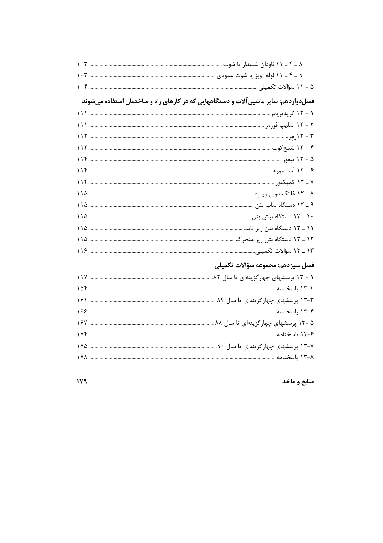| فصلدوازدهم: سایر ماشین آلات و دستگاههایی که در کارهای راه و ساختمان استفاده میشوند |  |
|------------------------------------------------------------------------------------|--|
|                                                                                    |  |
|                                                                                    |  |
|                                                                                    |  |
|                                                                                    |  |
|                                                                                    |  |
|                                                                                    |  |
|                                                                                    |  |
|                                                                                    |  |
|                                                                                    |  |
|                                                                                    |  |
|                                                                                    |  |
|                                                                                    |  |
|                                                                                    |  |
|                                                                                    |  |

## فصل سیزدهم: مجموعه سؤالات تکمیلی

|  | --<br>$\sim$ |
|--|--------------|
|--|--------------|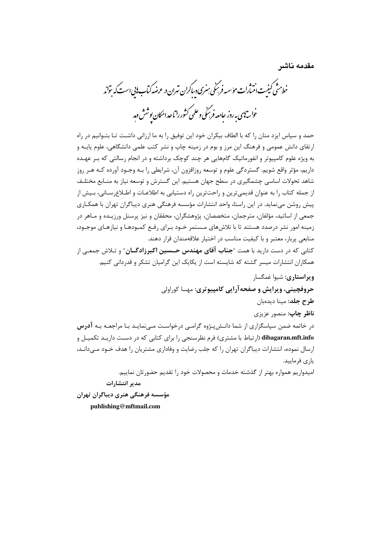مقدمه ناشر

.<br>خط<sup>رمت</sup>ی کیفت انت *ان مؤسسه فرسکی سری دساکران تهران در عرضه کیاب نابی است که* تواند .<br>خواسته<sup>ا</sup>ی به روز حامعه فرسمنی و علمی کشور را تاحد امکان بوشش دم*د* 

حمد و سیاس ایزد منان را که با الطاف بیکران خود این توفیق را به ما ارزانی داشت تـا بتـوانیم در راه ارتقای دانش عمومی و فرهنگ این مرز و بوم در زمینه چاپ و نشر کتب علمی دانشگاهی، علوم پایـه و به ویژه علوم کامپیوتر و انفورماتیک گامهایی هر چند کوچک برداشته و در انجام رسالتی که بـر عهـده داریم، مؤثر واقع شویم. گستردگی علوم و توسعه روزافزون آن، شرایطی را بـه وجـود آورده کـه هـر روز شاهد تحولات اساسی چشمگیری در سطح جهان هستیم. این گسترش و توسعه نیاز به منـابع مختلـف از جمله کتاب را به عنوان قدیمی ترین و راحت ترین راه دستیابی به اطلاعـات و اطـلاع رسـانی، بـیش از پیش روشن می نماید. در این راستا، واحد انتشارات مؤسسه فرهنگی هنری دیباگران تهران با همکـاری جمعي از اساتيد، مؤلفان، مترجمان، متخصصان، پژوهشگران، محققان و نيز پرسنل ورزيـده و مـاهر در زمینه امور نشر درصدد هستند تا با تلاش های مـستمر خـود بـرای رفـع کمبودهـا و نیازهـای موجـود، منابعي پربار، معتبر و با كيفيت مناسب در اختيار علاقهمندان قرار دهند.

کتابی که در دست دارید با همت "**جناب آقای مهندس حــسین اکبرزادگــان**" و تـلاش جمعـی از همکاران انتشارات میسر گشته که شایسته است از یکایک این گرامیان تشکر و قدردانی کنیم.

ويراستاري: شيوا غمگسار

حروفچینی، ویرایش و صفحه آرایی کامپیوتری: مهسا کوراولی

**طرح حلد:** مینا دیدویان

**ناظر چاپ**: منصور عزیزی

در خاتمه ضمن سپاسگزاری از شما دانـش بـژوه گرامـی درخواسـت مـی نمایـد بـا مراجعـه بـه **آدرس** dibagaran.mft.info (ارتباط با مشتری) فرم نظرسنجی را برای کتابی که در دسـت داریـد تکمیـل و ارسال نموده، انتشارات دیباگران تهران را که جلب رضایت و وفاداری مشتریان را هدف خــود مــی۱دانــد، ياري فرماييد.

امیدواریم همواره بهتر از گذشته خدمات و محصولات خود را تقدیم حضورتان نماییم.

مدير انتشارات

مؤسسه فرهنگی هنری دیباگران تهران publishing@mftmail.com